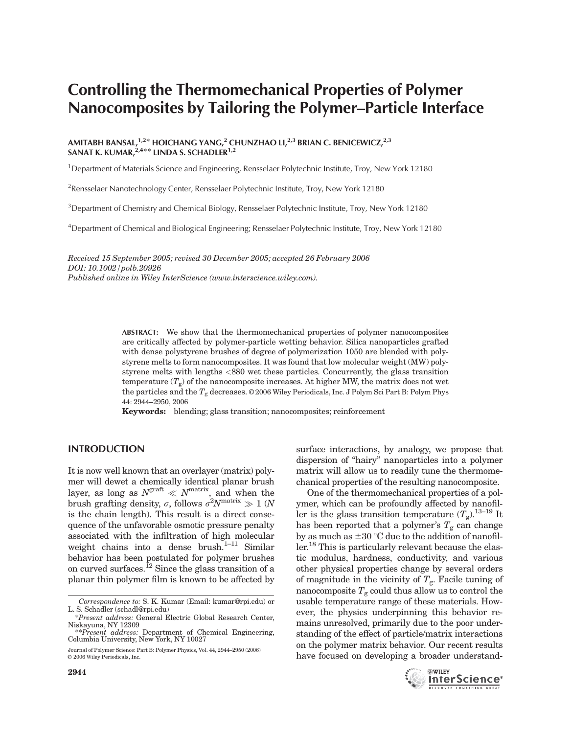# Controlling the Thermomechanical Properties of Polymer Nanocomposites by Tailoring the Polymer–Particle Interface

## AMITABH BANSAL, $^{1,2\ast}$  HOICHANG YANG, $^{2}$  CHUNZHAO LI, $^{2,3}$  BRIAN C. BENICEWICZ, $^{2,3}$ SANAT K. KUMAR, $^{2,4**}$  LINDA S. SCHADLER $^{1,2}$

<sup>1</sup>Department of Materials Science and Engineering, Rensselaer Polytechnic Institute, Troy, New York 12180

<sup>2</sup> Rensselaer Nanotechnology Center, Rensselaer Polytechnic Institute, Troy, New York 12180

<sup>3</sup>Department of Chemistry and Chemical Biology, Rensselaer Polytechnic Institute, Troy, New York 12180

4 Department of Chemical and Biological Engineering; Rensselaer Polytechnic Institute, Troy, New York 12180

Received 15 September 2005; revised 30 December 2005; accepted 26 February 2006 DOI: 10.1002/polb.20926 Published online in Wiley InterScience (www.interscience.wiley.com).

> ABSTRACT: We show that the thermomechanical properties of polymer nanocomposites are critically affected by polymer-particle wetting behavior. Silica nanoparticles grafted with dense polystyrene brushes of degree of polymerization 1050 are blended with polystyrene melts to form nanocomposites. It was found that low molecular weight (MW) polystyrene melts with lengths <880 wet these particles. Concurrently, the glass transition temperature  $(T_g)$  of the nanocomposite increases. At higher MW, the matrix does not wet the particles and the  $T_g$  decreases. © 2006 Wiley Periodicals, Inc. J Polym Sci Part B: Polym Phys 44: 2944–2950, 2006

Keywords: blending; glass transition; nanocomposites; reinforcement

# INTRODUCTION

It is now well known that an overlayer (matrix) polymer will dewet a chemically identical planar brush layer, as long as  $N^{\text{grant}} \ll N^{\text{matrix}}$ , and when the brush grafting density,  $\sigma$ , follows  $\sigma^2 N^{\text{matrix}} \gg 1$  (N is the chain length). This result is a direct consequence of the unfavorable osmotic pressure penalty associated with the infiltration of high molecular weight chains into a dense brush.<sup>1–11</sup> Similar behavior has been postulated for polymer brushes on curved surfaces.<sup>12</sup> Since the glass transition of a planar thin polymer film is known to be affected by

surface interactions, by analogy, we propose that dispersion of ''hairy'' nanoparticles into a polymer matrix will allow us to readily tune the thermomechanical properties of the resulting nanocomposite.

One of the thermomechanical properties of a polymer, which can be profoundly affected by nanofiller is the glass transition temperature  $(T_g)$ .<sup>13–19</sup> It has been reported that a polymer's  $T_g$  can change by as much as  $\pm 30$  °C due to the addition of nanofiller.18 This is particularly relevant because the elastic modulus, hardness, conductivity, and various other physical properties change by several orders of magnitude in the vicinity of  $T_g$ . Facile tuning of nanocomposite  $T_{\rm g}$  could thus allow us to control the usable temperature range of these materials. However, the physics underpinning this behavior remains unresolved, primarily due to the poor understanding of the effect of particle/matrix interactions on the polymer matrix behavior. Our recent results have focused on developing a broader understand-



Correspondence to: S. K. Kumar (Email: kumar@rpi.edu) or L. S. Schadler (schadl@rpi.edu)

<sup>\*</sup>Present address: General Electric Global Research Center, Niskayuna, NY 12309

<sup>\*\*</sup>Present address: Department of Chemical Engineering, Columbia University, New York, NY 10027

Journal of Polymer Science: Part B: Polymer Physics, Vol. 44, 2944–2950 (2006)  $\odot$  2006 Wiley Periodicals, Inc.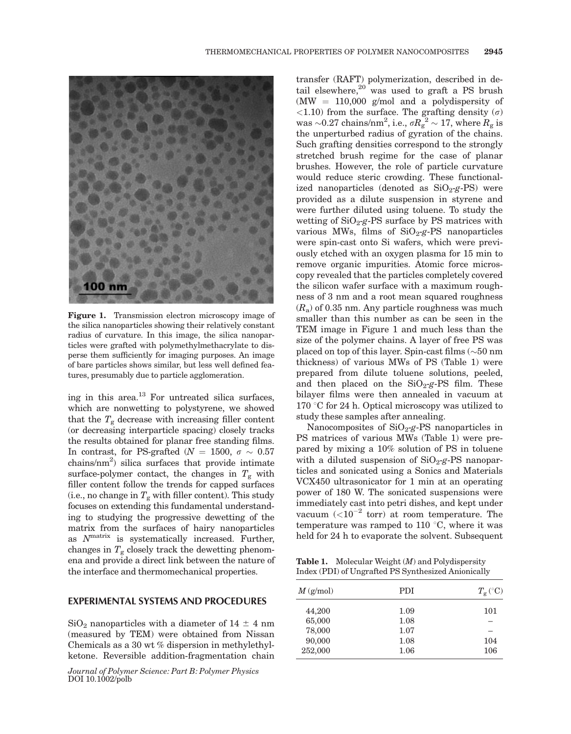

Figure 1. Transmission electron microscopy image of the silica nanoparticles showing their relatively constant radius of curvature. In this image, the silica nanoparticles were grafted with polymethylmethacrylate to disperse them sufficiently for imaging purposes. An image of bare particles shows similar, but less well defined features, presumably due to particle agglomeration.

ing in this area. $^{13}$  For untreated silica surfaces, which are nonwetting to polystyrene, we showed that the  $T_{\rm g}$  decrease with increasing filler content (or decreasing interparticle spacing) closely tracks the results obtained for planar free standing films. In contrast, for PS-grafted ( $N = 1500, \sigma \sim 0.57$ chains/nm2 ) silica surfaces that provide intimate surface-polymer contact, the changes in  $T_g$  with filler content follow the trends for capped surfaces (i.e., no change in  $T_g$  with filler content). This study focuses on extending this fundamental understanding to studying the progressive dewetting of the matrix from the surfaces of hairy nanoparticles as  $N^{\text{matrix}}$  is systematically increased. Further, changes in  $T_g$  closely track the dewetting phenomena and provide a direct link between the nature of the interface and thermomechanical properties.

#### EXPERIMENTAL SYSTEMS AND PROCEDURES

 $SiO<sub>2</sub>$  nanoparticles with a diameter of 14  $\pm$  4 nm (measured by TEM) were obtained from Nissan Chemicals as a 30 wt % dispersion in methylethylketone. Reversible addition-fragmentation chain

Journal of Polymer Science: Part B: Polymer Physics DOI 10.1002/polb

transfer (RAFT) polymerization, described in detail elsewhere, $20$  was used to graft a PS brush  $(MW = 110,000$  g/mol and a polydispersity of <1.10) from the surface. The grafting density  $(\sigma)$ was  $\sim$ 0.27 chains/nm<sup>2</sup>, i.e.,  $\sigma R_{\rm g}^{1/2} \sim 17$ , where  $R_{\rm g}$  is the unperturbed radius of gyration of the chains. Such grafting densities correspond to the strongly stretched brush regime for the case of planar brushes. However, the role of particle curvature would reduce steric crowding. These functionalized nanoparticles (denoted as  $SiO<sub>2</sub>-g-PS$ ) were provided as a dilute suspension in styrene and were further diluted using toluene. To study the wetting of  $SiO<sub>2</sub> - g$ -PS surface by PS matrices with various MWs, films of  $SiO<sub>2</sub>-g-PS$  nanoparticles were spin-cast onto Si wafers, which were previously etched with an oxygen plasma for 15 min to remove organic impurities. Atomic force microscopy revealed that the particles completely covered the silicon wafer surface with a maximum roughness of 3 nm and a root mean squared roughness  $(R_a)$  of 0.35 nm. Any particle roughness was much smaller than this number as can be seen in the TEM image in Figure 1 and much less than the size of the polymer chains. A layer of free PS was placed on top of this layer. Spin-cast films  $(\sim 50 \text{ nm})$ thickness) of various MWs of PS (Table 1) were prepared from dilute toluene solutions, peeled, and then placed on the  $SiO<sub>2</sub>-g-PS$  film. These bilayer films were then annealed in vacuum at  $170 \text{ °C}$  for 24 h. Optical microscopy was utilized to study these samples after annealing.

Nanocomposites of  $SiO<sub>2</sub> - g$ -PS nanoparticles in PS matrices of various MWs (Table 1) were prepared by mixing a 10% solution of PS in toluene with a diluted suspension of  $SiO<sub>2</sub>-g-PS$  nanoparticles and sonicated using a Sonics and Materials VCX450 ultrasonicator for 1 min at an operating power of 180 W. The sonicated suspensions were immediately cast into petri dishes, and kept under vacuum  $(<10^{-2}$  torr) at room temperature. The temperature was ramped to 110 $\degree$ C, where it was held for 24 h to evaporate the solvent. Subsequent

Table 1. Molecular Weight (M) and Polydispersity Index (PDI) of Ungrafted PS Synthesized Anionically

| $M \left( \text{g/mol} \right)$                 | <b>PDI</b>                           | $T_{\rm g}$ (°C)  |
|-------------------------------------------------|--------------------------------------|-------------------|
| 44,200<br>65,000<br>78,000<br>90,000<br>252,000 | 1.09<br>1.08<br>1.07<br>1.08<br>1.06 | 101<br>104<br>106 |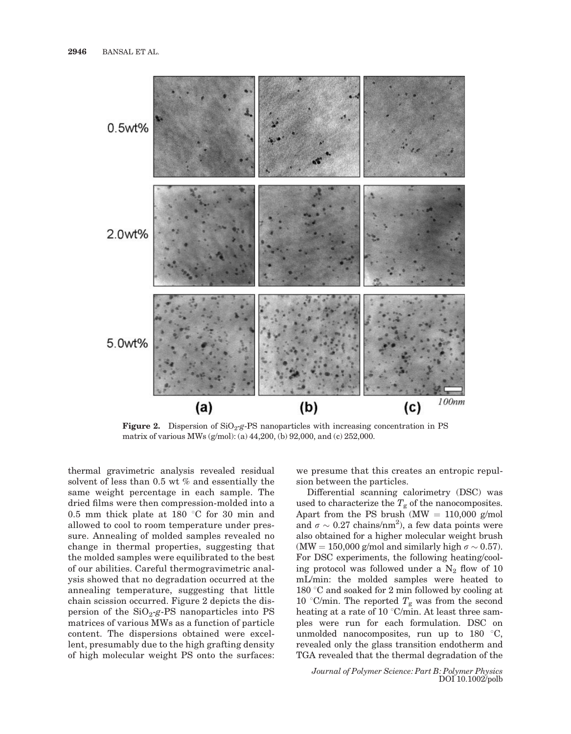

**Figure 2.** Dispersion of  $SiO<sub>2</sub>-g-PS$  nanoparticles with increasing concentration in PS matrix of various MWs (g/mol): (a) 44,200, (b) 92,000, and (c) 252,000.

thermal gravimetric analysis revealed residual solvent of less than 0.5 wt % and essentially the same weight percentage in each sample. The dried films were then compression-molded into a 0.5 mm thick plate at 180  $\degree$ C for 30 min and allowed to cool to room temperature under pressure. Annealing of molded samples revealed no change in thermal properties, suggesting that the molded samples were equilibrated to the best of our abilities. Careful thermogravimetric analysis showed that no degradation occurred at the annealing temperature, suggesting that little chain scission occurred. Figure 2 depicts the dispersion of the  $SiO<sub>2</sub>-g-PS$  nanoparticles into PS matrices of various MWs as a function of particle content. The dispersions obtained were excellent, presumably due to the high grafting density of high molecular weight PS onto the surfaces: we presume that this creates an entropic repulsion between the particles.

Differential scanning calorimetry (DSC) was used to characterize the  $T_g$  of the nanocomposites. Apart from the PS brush (MW  $= 110,000$  g/mol and  $\sigma \sim 0.27 \text{ chains/nm}^2$ ), a few data points were also obtained for a higher molecular weight brush (MW = 150,000 g/mol and similarly high  $\sigma \sim 0.57$ ). For DSC experiments, the following heating/cooling protocol was followed under a  $N_2$  flow of 10 mL/min: the molded samples were heated to 180  $\degree$ C and soaked for 2 min followed by cooling at 10 °C/min. The reported  $T_g$  was from the second heating at a rate of 10 °C/min. At least three samples were run for each formulation. DSC on unmolded nanocomposites, run up to  $180 \degree C$ , revealed only the glass transition endotherm and TGA revealed that the thermal degradation of the

Journal of Polymer Science: Part B: Polymer Physics DOI 10.1002/polb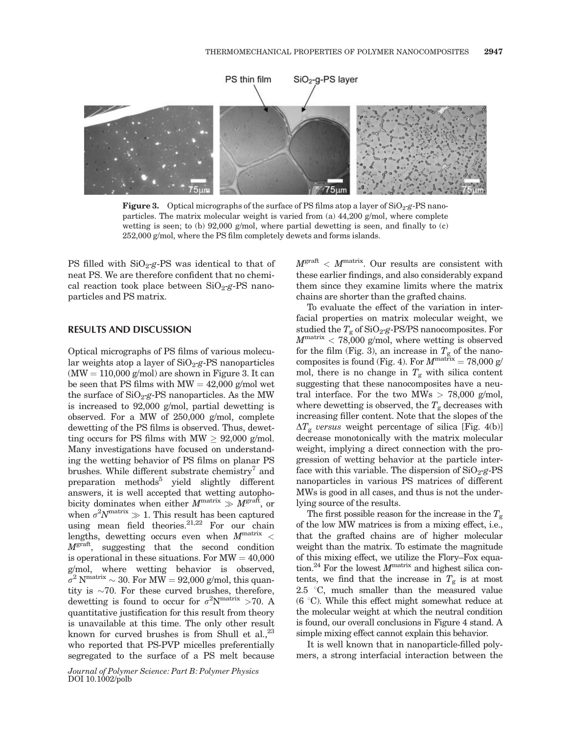

**Figure 3.** Optical micrographs of the surface of PS films atop a layer of  $SiO<sub>2</sub> - g - PS$  nanoparticles. The matrix molecular weight is varied from (a)  $44,200$  g/mol, where complete wetting is seen; to (b)  $92,000$  g/mol, where partial dewetting is seen, and finally to (c) 252,000 g/mol, where the PS film completely dewets and forms islands.

PS filled with  $SiO<sub>2</sub>$ -g-PS was identical to that of neat PS. We are therefore confident that no chemical reaction took place between  $SiO<sub>2</sub>$ -g-PS nanoparticles and PS matrix.

## RESULTS AND DISCUSSION

Optical micrographs of PS films of various molecular weights atop a layer of  $SiO<sub>2</sub>-g-PS$  nanoparticles  $(MW = 110,000$  g/mol) are shown in Figure 3. It can be seen that PS films with  $MW = 42,000$  g/mol wet the surface of  $SiO<sub>2</sub> - PS$  nanoparticles. As the MW is increased to 92,000 g/mol, partial dewetting is observed. For a MW of 250,000 g/mol, complete dewetting of the PS films is observed. Thus, dewetting occurs for PS films with MW  $\geq$  92,000 g/mol. Many investigations have focused on understanding the wetting behavior of PS films on planar PS brushes. While different substrate chemistry<sup>7</sup> and preparation methods<sup>5</sup> yield slightly different answers, it is well accepted that wetting autophobicity dominates when either  $M^{\text{matrix}} \gg M^{\text{graft}}$ , or when  $\sigma^2 N^{\text{matrix}} \gg 1$ . This result has been captured using mean field theories.<sup>21,22</sup> For our chain lengths, dewetting occurs even when  $M<sup>matrix</sup>$  <  $M<sup>graf</sup>$ , suggesting that the second condition is operational in these situations. For  $MW = 40,000$ g/mol, where wetting behavior is observed,  $\sigma^2$  N<sup>matrix</sup>  $\sim 30$ . For MW = 92,000 g/mol, this quantity is  $\sim$ 70. For these curved brushes, therefore, dewetting is found to occur for  $\sigma^2 N^{\text{matrix}} > 70$ . A quantitative justification for this result from theory is unavailable at this time. The only other result known for curved brushes is from Shull et al., $^{23}$ who reported that PS-PVP micelles preferentially segregated to the surface of a PS melt because

 $M^{\text{graff}} < M^{\text{matrix}}$ . Our results are consistent with these earlier findings, and also considerably expand them since they examine limits where the matrix chains are shorter than the grafted chains.

To evaluate the effect of the variation in interfacial properties on matrix molecular weight, we studied the  $T_g$  of SiO<sub>2-g</sub>-PS/PS nanocomposites. For  $M<sub>matrix</sub> < 78,000$  g/mol, where wetting is observed for the film (Fig. 3), an increase in  $T_g$  of the nanocomposites is found (Fig. 4). For  $M^{\text{matrix}} = 78,000 \text{ g/m}$ mol, there is no change in  $T<sub>g</sub>$  with silica content suggesting that these nanocomposites have a neutral interface. For the two MWs  $> 78,000$  g/mol, where dewetting is observed, the  $T_g$  decreases with increasing filler content. Note that the slopes of the  $\Delta T_{\rm g}$  versus weight percentage of silica [Fig. 4(b)] decrease monotonically with the matrix molecular weight, implying a direct connection with the progression of wetting behavior at the particle interface with this variable. The dispersion of  $SiO<sub>2</sub>-g-PS$ nanoparticles in various PS matrices of different MWs is good in all cases, and thus is not the underlying source of the results.

The first possible reason for the increase in the  $T_{\rm g}$ of the low MW matrices is from a mixing effect, i.e., that the grafted chains are of higher molecular weight than the matrix. To estimate the magnitude of this mixing effect, we utilize the Flory–Fox equation.<sup>24</sup> For the lowest  $M<sup>matrix</sup>$  and highest silica contents, we find that the increase in  $T<sub>g</sub>$  is at most 2.5  $\degree$ C, much smaller than the measured value  $(6 \degree C)$ . While this effect might somewhat reduce at the molecular weight at which the neutral condition is found, our overall conclusions in Figure 4 stand. A simple mixing effect cannot explain this behavior.

It is well known that in nanoparticle-filled polymers, a strong interfacial interaction between the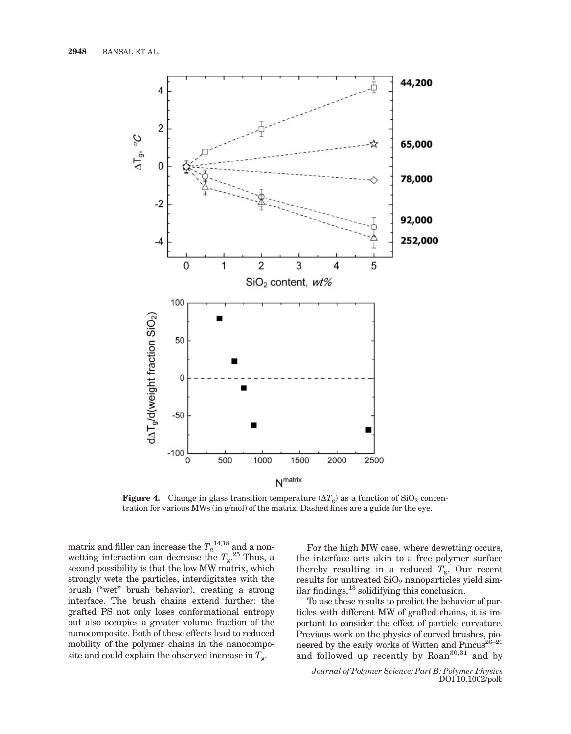

**Figure 4.** Change in glass transition temperature  $(\Delta T_g)$  as a function of SiO<sub>2</sub> concentration for various MWs (in g/mol) of the matrix. Dashed lines are a guide for the eye.

matrix and filler can increase the  $T_{\rm g}^{\,\,14,18}$  and a nonwetting interaction can decrease the  $T_{\rm g}$ <sup>25</sup> Thus, a second possibility is that the low MW matrix, which strongly wets the particles, interdigitates with the brush (''wet'' brush behavior), creating a strong interface. The brush chains extend further: the grafted PS not only loses conformational entropy but also occupies a greater volume fraction of the nanocomposite. Both of these effects lead to reduced mobility of the polymer chains in the nanocomposite and could explain the observed increase in  $T_{\rm g}$ .

For the high MW case, where dewetting occurs, the interface acts akin to a free polymer surface thereby resulting in a reduced  $T_{\rm g}$ . Our recent results for untreated  $SiO<sub>2</sub>$  nanoparticles yield similar findings, $^{13}$  solidifying this conclusion.

To use these results to predict the behavior of particles with different MW of grafted chains, it is important to consider the effect of particle curvature. Previous work on the physics of curved brushes, pioneered by the early works of Witten and Pincus<sup>26-29</sup> and followed up recently by Roan<sup>30,31</sup> and by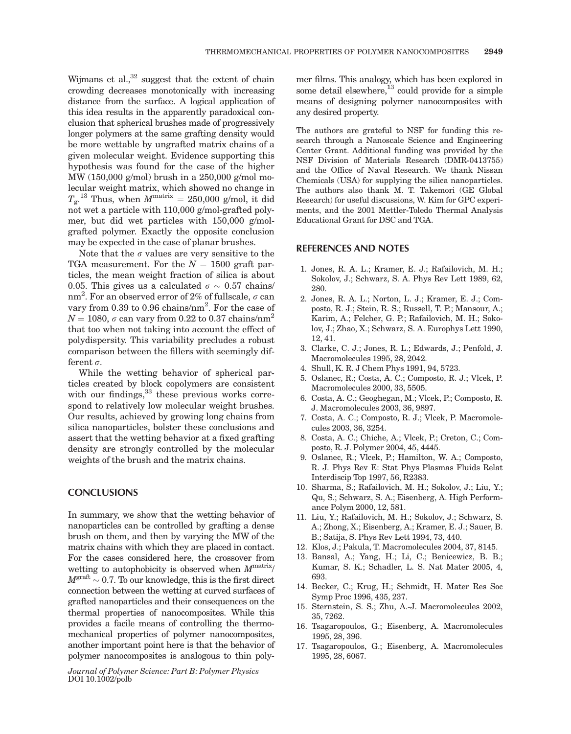Wijmans et al., $32$  suggest that the extent of chain crowding decreases monotonically with increasing distance from the surface. A logical application of this idea results in the apparently paradoxical conclusion that spherical brushes made of progressively longer polymers at the same grafting density would be more wettable by ungrafted matrix chains of a given molecular weight. Evidence supporting this hypothesis was found for the case of the higher MW (150,000 g/mol) brush in a 250,000 g/mol molecular weight matrix, which showed no change in  $T_{\rm g}$ .<sup>13</sup> Thus, when  $M^{\rm matrix} = 250,000$  g/mol, it did not wet a particle with 110,000 g/mol-grafted polymer, but did wet particles with 150,000 g/molgrafted polymer. Exactly the opposite conclusion may be expected in the case of planar brushes.

Note that the  $\sigma$  values are very sensitive to the TGA measurement. For the  $N = 1500$  graft particles, the mean weight fraction of silica is about 0.05. This gives us a calculated  $\sigma \sim 0.57$  chains/ nm<sup>2</sup>. For an observed error of 2% of fullscale,  $\sigma$  can vary from 0.39 to 0.96 chains/nm<sup>2</sup>. For the case of  $N = 1080$ ,  $\sigma$  can vary from 0.22 to 0.37 chains/nm<sup>2</sup> that too when not taking into account the effect of polydispersity. This variability precludes a robust comparison between the fillers with seemingly different  $\sigma$ .

While the wetting behavior of spherical particles created by block copolymers are consistent with our findings,  $33$  these previous works correspond to relatively low molecular weight brushes. Our results, achieved by growing long chains from silica nanoparticles, bolster these conclusions and assert that the wetting behavior at a fixed grafting density are strongly controlled by the molecular weights of the brush and the matrix chains.

#### **CONCLUSIONS**

In summary, we show that the wetting behavior of nanoparticles can be controlled by grafting a dense brush on them, and then by varying the MW of the matrix chains with which they are placed in contact. For the cases considered here, the crossover from wetting to autophobicity is observed when  $M<sup>matrix</sup>$  $M^{\text{graf}} \sim 0.7$ . To our knowledge, this is the first direct connection between the wetting at curved surfaces of grafted nanoparticles and their consequences on the thermal properties of nanocomposites. While this provides a facile means of controlling the thermomechanical properties of polymer nanocomposites, another important point here is that the behavior of polymer nanocomposites is analogous to thin poly-

Journal of Polymer Science: Part B: Polymer Physics DOI 10.1002/polb

mer films. This analogy, which has been explored in some detail elsewhere, $^{13}$  could provide for a simple means of designing polymer nanocomposites with any desired property.

The authors are grateful to NSF for funding this research through a Nanoscale Science and Engineering Center Grant. Additional funding was provided by the NSF Division of Materials Research (DMR-0413755) and the Office of Naval Research. We thank Nissan Chemicals (USA) for supplying the silica nanoparticles. The authors also thank M. T. Takemori (GE Global Research) for useful discussions, W. Kim for GPC experiments, and the 2001 Mettler-Toledo Thermal Analysis Educational Grant for DSC and TGA.

#### REFERENCES AND NOTES

- 1. Jones, R. A. L.; Kramer, E. J.; Rafailovich, M. H.; Sokolov, J.; Schwarz, S. A. Phys Rev Lett 1989, 62, 280.
- 2. Jones, R. A. L.; Norton, L. J.; Kramer, E. J.; Composto, R. J.; Stein, R. S.; Russell, T. P.; Mansour, A.; Karim, A.; Felcher, G. P.; Rafailovich, M. H.; Sokolov, J.; Zhao, X.; Schwarz, S. A. Europhys Lett 1990, 12, 41.
- 3. Clarke, C. J.; Jones, R. L.; Edwards, J.; Penfold, J. Macromolecules 1995, 28, 2042.
- 4. Shull, K. R. J Chem Phys 1991, 94, 5723.
- 5. Oslanec, R.; Costa, A. C.; Composto, R. J.; Vlcek, P. Macromolecules 2000, 33, 5505.
- 6. Costa, A. C.; Geoghegan, M.; Vlcek, P.; Composto, R. J. Macromolecules 2003, 36, 9897.
- 7. Costa, A. C.; Composto, R. J.; Vlcek, P. Macromolecules 2003, 36, 3254.
- 8. Costa, A. C.; Chiche, A.; Vlcek, P.; Creton, C.; Composto, R. J. Polymer 2004, 45, 4445.
- 9. Oslanec, R.; Vlcek, P.; Hamilton, W. A.; Composto, R. J. Phys Rev E: Stat Phys Plasmas Fluids Relat Interdiscip Top 1997, 56, R2383.
- 10. Sharma, S.; Rafailovich, M. H.; Sokolov, J.; Liu, Y.; Qu, S.; Schwarz, S. A.; Eisenberg, A. High Performance Polym 2000, 12, 581.
- 11. Liu, Y.; Rafailovich, M. H.; Sokolov, J.; Schwarz, S. A.; Zhong, X.; Eisenberg, A.; Kramer, E. J.; Sauer, B. B.; Satija, S. Phys Rev Lett 1994, 73, 440.
- 12. Klos, J.; Pakula, T. Macromolecules 2004, 37, 8145.
- 13. Bansal, A.; Yang, H.; Li, C.; Benicewicz, B. B.; Kumar, S. K.; Schadler, L. S. Nat Mater 2005, 4, 693.
- 14. Becker, C.; Krug, H.; Schmidt, H. Mater Res Soc Symp Proc 1996, 435, 237.
- 15. Sternstein, S. S.; Zhu, A.-J. Macromolecules 2002, 35, 7262.
- 16. Tsagaropoulos, G.; Eisenberg, A. Macromolecules 1995, 28, 396.
- 17. Tsagaropoulos, G.; Eisenberg, A. Macromolecules 1995, 28, 6067.